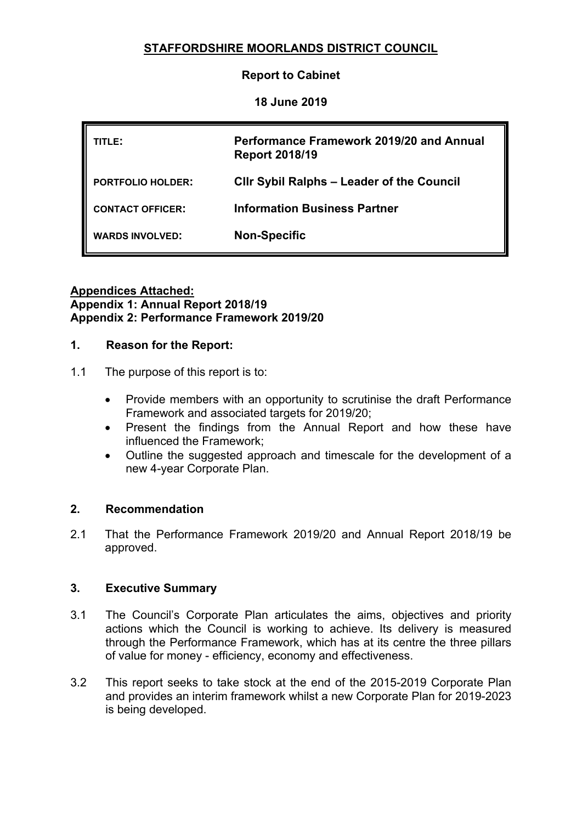# **STAFFORDSHIRE MOORLANDS DISTRICT COUNCIL**

**Report to Cabinet**

**18 June 2019**

| TITLE:                   | Performance Framework 2019/20 and Annual<br><b>Report 2018/19</b> |
|--------------------------|-------------------------------------------------------------------|
| <b>PORTFOLIO HOLDER:</b> | <b>CIIr Sybil Ralphs - Leader of the Council</b>                  |
| <b>CONTACT OFFICER:</b>  | <b>Information Business Partner</b>                               |
| <b>WARDS INVOLVED:</b>   | <b>Non-Specific</b>                                               |

#### **Appendices Attached: Appendix 1: Annual Report 2018/19 Appendix 2: Performance Framework 2019/20**

#### **1. Reason for the Report:**

- 1.1 The purpose of this report is to:
	- Provide members with an opportunity to scrutinise the draft Performance Framework and associated targets for 2019/20;
	- Present the findings from the Annual Report and how these have influenced the Framework;
	- Outline the suggested approach and timescale for the development of a new 4-year Corporate Plan.

#### **2. Recommendation**

2.1 That the Performance Framework 2019/20 and Annual Report 2018/19 be approved.

#### **3. Executive Summary**

- 3.1 The Council's Corporate Plan articulates the aims, objectives and priority actions which the Council is working to achieve. Its delivery is measured through the Performance Framework, which has at its centre the three pillars of value for money - efficiency, economy and effectiveness.
- 3.2 This report seeks to take stock at the end of the 2015-2019 Corporate Plan and provides an interim framework whilst a new Corporate Plan for 2019-2023 is being developed.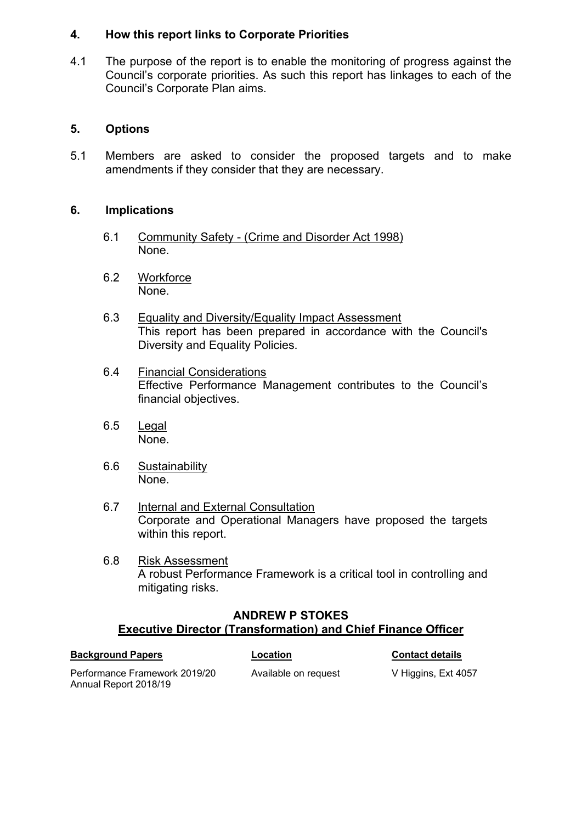#### **4. How this report links to Corporate Priorities**

4.1 The purpose of the report is to enable the monitoring of progress against the Council's corporate priorities. As such this report has linkages to each of the Council's Corporate Plan aims.

# **5. Options**

5.1 Members are asked to consider the proposed targets and to make amendments if they consider that they are necessary.

## **6. Implications**

- 6.1 Community Safety (Crime and Disorder Act 1998) None.
- 6.2 Workforce None.
- 6.3 Equality and Diversity/Equality Impact Assessment This report has been prepared in accordance with the Council's Diversity and Equality Policies.
- 6.4 Financial Considerations Effective Performance Management contributes to the Council's financial objectives.
- 6.5 Legal None.
- 6.6 Sustainability None.
- 6.7 Internal and External Consultation Corporate and Operational Managers have proposed the targets within this report.
- 6.8 Risk Assessment A robust Performance Framework is a critical tool in controlling and mitigating risks.

## **ANDREW P STOKES Executive Director (Transformation) and Chief Finance Officer**

| Performance Framework 2019/20 |
|-------------------------------|
| Annual Report 2018/19         |

**Background Papers Location Contact details**

Available on request V Higgins, Ext 4057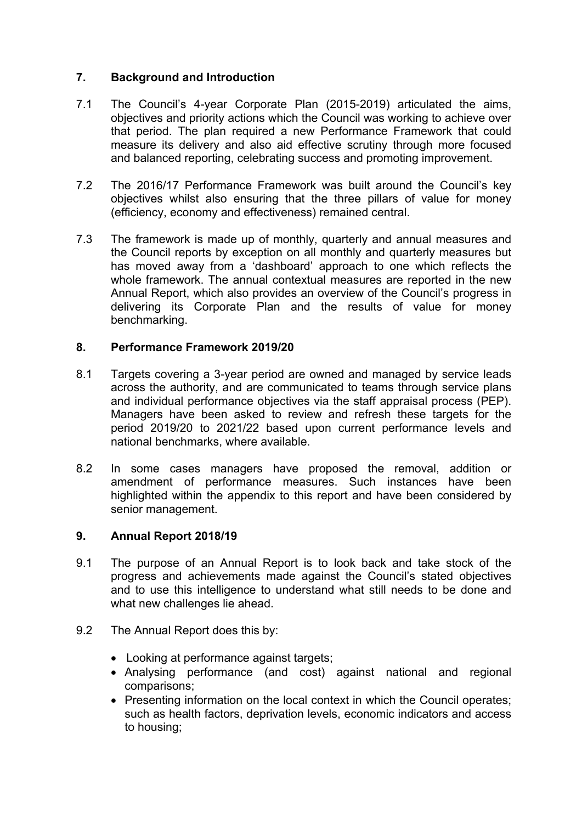### **7. Background and Introduction**

- 7.1 The Council's 4-year Corporate Plan (2015-2019) articulated the aims, objectives and priority actions which the Council was working to achieve over that period. The plan required a new Performance Framework that could measure its delivery and also aid effective scrutiny through more focused and balanced reporting, celebrating success and promoting improvement.
- 7.2 The 2016/17 Performance Framework was built around the Council's key objectives whilst also ensuring that the three pillars of value for money (efficiency, economy and effectiveness) remained central.
- 7.3 The framework is made up of monthly, quarterly and annual measures and the Council reports by exception on all monthly and quarterly measures but has moved away from a 'dashboard' approach to one which reflects the whole framework. The annual contextual measures are reported in the new Annual Report, which also provides an overview of the Council's progress in delivering its Corporate Plan and the results of value for money benchmarking.

### **8. Performance Framework 2019/20**

- 8.1 Targets covering a 3-year period are owned and managed by service leads across the authority, and are communicated to teams through service plans and individual performance objectives via the staff appraisal process (PEP). Managers have been asked to review and refresh these targets for the period 2019/20 to 2021/22 based upon current performance levels and national benchmarks, where available.
- 8.2 In some cases managers have proposed the removal, addition or amendment of performance measures. Such instances have been highlighted within the appendix to this report and have been considered by senior management.

#### **9. Annual Report 2018/19**

- 9.1 The purpose of an Annual Report is to look back and take stock of the progress and achievements made against the Council's stated objectives and to use this intelligence to understand what still needs to be done and what new challenges lie ahead.
- 9.2 The Annual Report does this by:
	- Looking at performance against targets;
	- Analysing performance (and cost) against national and regional comparisons;
	- Presenting information on the local context in which the Council operates; such as health factors, deprivation levels, economic indicators and access to housing;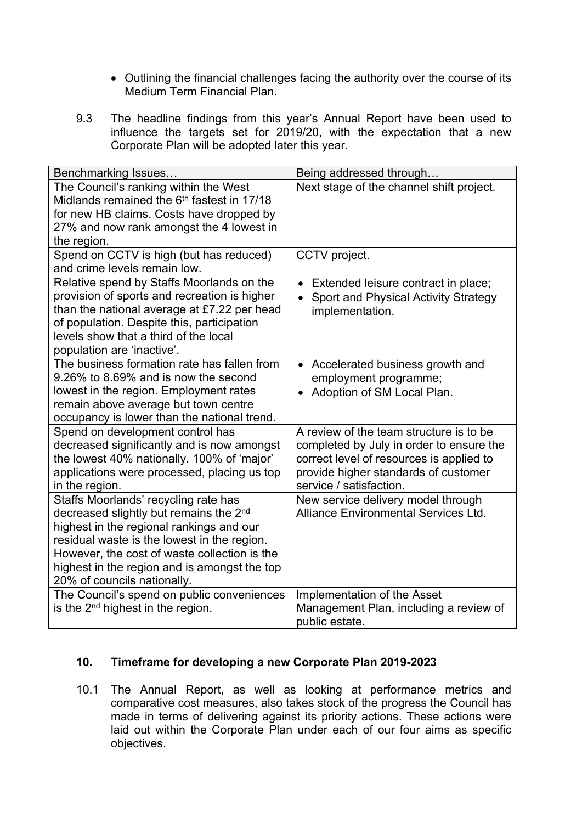- Outlining the financial challenges facing the authority over the course of its Medium Term Financial Plan.
- 9.3 The headline findings from this year's Annual Report have been used to influence the targets set for 2019/20, with the expectation that a new Corporate Plan will be adopted later this year.

| Benchmarking Issues                                                                                                                                                                                                                                                                                                  | Being addressed through                                                                                                                                                                            |
|----------------------------------------------------------------------------------------------------------------------------------------------------------------------------------------------------------------------------------------------------------------------------------------------------------------------|----------------------------------------------------------------------------------------------------------------------------------------------------------------------------------------------------|
| The Council's ranking within the West<br>Midlands remained the 6 <sup>th</sup> fastest in 17/18<br>for new HB claims. Costs have dropped by<br>27% and now rank amongst the 4 lowest in<br>the region.                                                                                                               | Next stage of the channel shift project.                                                                                                                                                           |
| Spend on CCTV is high (but has reduced)<br>and crime levels remain low.                                                                                                                                                                                                                                              | CCTV project.                                                                                                                                                                                      |
| Relative spend by Staffs Moorlands on the<br>provision of sports and recreation is higher<br>than the national average at £7.22 per head<br>of population. Despite this, participation<br>levels show that a third of the local<br>population are 'inactive'.                                                        | Extended leisure contract in place;<br>Sport and Physical Activity Strategy<br>implementation.                                                                                                     |
| The business formation rate has fallen from<br>9.26% to 8.69% and is now the second<br>lowest in the region. Employment rates<br>remain above average but town centre<br>occupancy is lower than the national trend.                                                                                                 | Accelerated business growth and<br>employment programme;<br>Adoption of SM Local Plan.                                                                                                             |
| Spend on development control has<br>decreased significantly and is now amongst<br>the lowest 40% nationally. 100% of 'major'<br>applications were processed, placing us top<br>in the region.                                                                                                                        | A review of the team structure is to be<br>completed by July in order to ensure the<br>correct level of resources is applied to<br>provide higher standards of customer<br>service / satisfaction. |
| Staffs Moorlands' recycling rate has<br>decreased slightly but remains the 2 <sup>nd</sup><br>highest in the regional rankings and our<br>residual waste is the lowest in the region.<br>However, the cost of waste collection is the<br>highest in the region and is amongst the top<br>20% of councils nationally. | New service delivery model through<br>Alliance Environmental Services Ltd.                                                                                                                         |
| The Council's spend on public conveniences<br>is the $2^{nd}$ highest in the region.                                                                                                                                                                                                                                 | Implementation of the Asset<br>Management Plan, including a review of<br>public estate.                                                                                                            |

## **10. Timeframe for developing a new Corporate Plan 2019-2023**

10.1 The Annual Report, as well as looking at performance metrics and comparative cost measures, also takes stock of the progress the Council has made in terms of delivering against its priority actions. These actions were laid out within the Corporate Plan under each of our four aims as specific objectives.